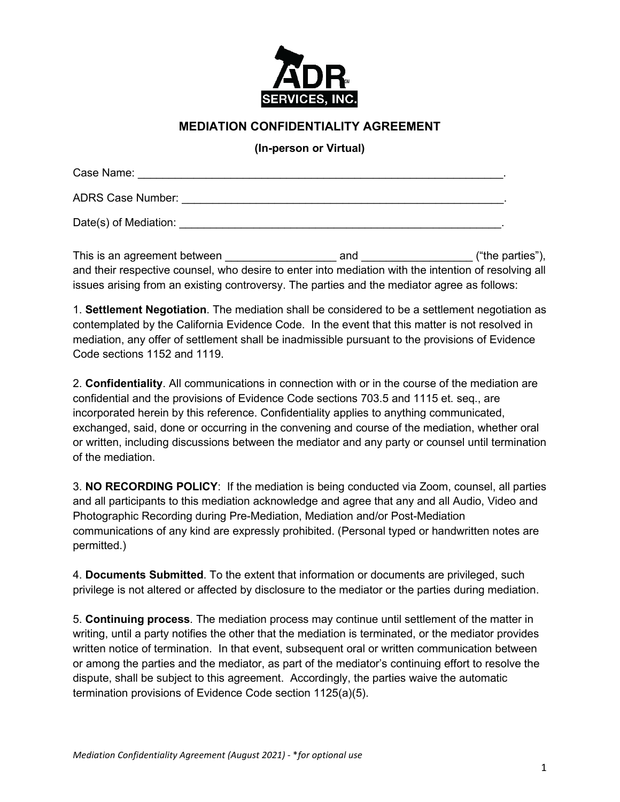

**MEDIATION CONFIDENTIALITY AGREEMENT**

**(In-person or Virtual)**

| Case Name:               |  |
|--------------------------|--|
| <b>ADRS Case Number:</b> |  |
| Date(s) of Mediation:    |  |

This is an agreement between example and and the parties"), and their respective counsel, who desire to enter into mediation with the intention of resolving all issues arising from an existing controversy. The parties and the mediator agree as follows:

1. **Settlement Negotiation**. The mediation shall be considered to be a settlement negotiation as contemplated by the California Evidence Code. In the event that this matter is not resolved in mediation, any offer of settlement shall be inadmissible pursuant to the provisions of Evidence Code sections 1152 and 1119.

2. **Confidentiality**. All communications in connection with or in the course of the mediation are confidential and the provisions of Evidence Code sections 703.5 and 1115 et. seq., are incorporated herein by this reference. Confidentiality applies to anything communicated, exchanged, said, done or occurring in the convening and course of the mediation, whether oral or written, including discussions between the mediator and any party or counsel until termination of the mediation.

3. **NO RECORDING POLICY**: If the mediation is being conducted via Zoom, counsel, all parties and all participants to this mediation acknowledge and agree that any and all Audio, Video and Photographic Recording during Pre-Mediation, Mediation and/or Post-Mediation communications of any kind are expressly prohibited. (Personal typed or handwritten notes are permitted.)

4. **Documents Submitted**. To the extent that information or documents are privileged, such privilege is not altered or affected by disclosure to the mediator or the parties during mediation.

5. **Continuing process**. The mediation process may continue until settlement of the matter in writing, until a party notifies the other that the mediation is terminated, or the mediator provides written notice of termination. In that event, subsequent oral or written communication between or among the parties and the mediator, as part of the mediator's continuing effort to resolve the dispute, shall be subject to this agreement. Accordingly, the parties waive the automatic termination provisions of Evidence Code section 1125(a)(5).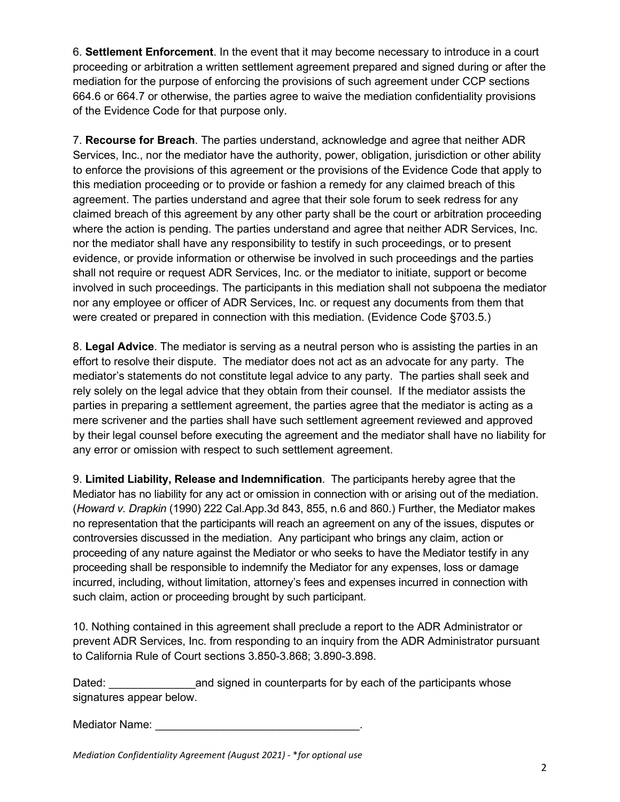6. **Settlement Enforcement**. In the event that it may become necessary to introduce in a court proceeding or arbitration a written settlement agreement prepared and signed during or after the mediation for the purpose of enforcing the provisions of such agreement under CCP sections 664.6 or 664.7 or otherwise, the parties agree to waive the mediation confidentiality provisions of the Evidence Code for that purpose only.

7. **Recourse for Breach**. The parties understand, acknowledge and agree that neither ADR Services, Inc., nor the mediator have the authority, power, obligation, jurisdiction or other ability to enforce the provisions of this agreement or the provisions of the Evidence Code that apply to this mediation proceeding or to provide or fashion a remedy for any claimed breach of this agreement. The parties understand and agree that their sole forum to seek redress for any claimed breach of this agreement by any other party shall be the court or arbitration proceeding where the action is pending. The parties understand and agree that neither ADR Services, Inc. nor the mediator shall have any responsibility to testify in such proceedings, or to present evidence, or provide information or otherwise be involved in such proceedings and the parties shall not require or request ADR Services, Inc. or the mediator to initiate, support or become involved in such proceedings. The participants in this mediation shall not subpoena the mediator nor any employee or officer of ADR Services, Inc. or request any documents from them that were created or prepared in connection with this mediation. (Evidence Code §703.5.)

8. **Legal Advice**. The mediator is serving as a neutral person who is assisting the parties in an effort to resolve their dispute. The mediator does not act as an advocate for any party. The mediator's statements do not constitute legal advice to any party. The parties shall seek and rely solely on the legal advice that they obtain from their counsel. If the mediator assists the parties in preparing a settlement agreement, the parties agree that the mediator is acting as a mere scrivener and the parties shall have such settlement agreement reviewed and approved by their legal counsel before executing the agreement and the mediator shall have no liability for any error or omission with respect to such settlement agreement.

9. **Limited Liability, Release and Indemnification**. The participants hereby agree that the Mediator has no liability for any act or omission in connection with or arising out of the mediation. (*Howard v. Drapkin* (1990) 222 Cal.App.3d 843, 855, n.6 and 860.) Further, the Mediator makes no representation that the participants will reach an agreement on any of the issues, disputes or controversies discussed in the mediation. Any participant who brings any claim, action or proceeding of any nature against the Mediator or who seeks to have the Mediator testify in any proceeding shall be responsible to indemnify the Mediator for any expenses, loss or damage incurred, including, without limitation, attorney's fees and expenses incurred in connection with such claim, action or proceeding brought by such participant.

10. Nothing contained in this agreement shall preclude a report to the ADR Administrator or prevent ADR Services, Inc. from responding to an inquiry from the ADR Administrator pursuant to California Rule of Court sections 3.850-3.868; 3.890-3.898.

Dated: **Example 3** and signed in counterparts for by each of the participants whose signatures appear below.

Mediator Name: \_\_\_\_\_\_\_\_\_\_\_\_\_\_\_\_\_\_\_\_\_\_\_\_\_\_\_\_\_\_\_\_\_.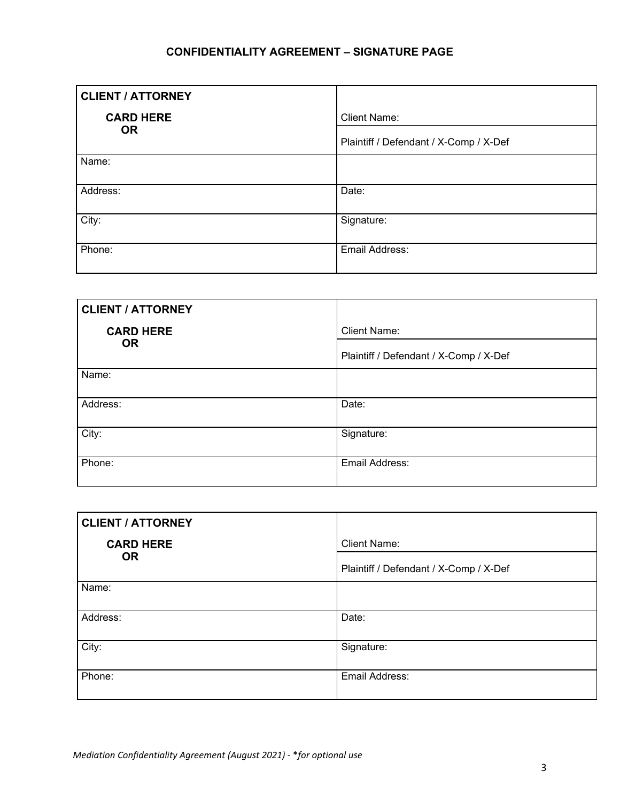## **CONFIDENTIALITY AGREEMENT – SIGNATURE PAGE**

| <b>CLIENT / ATTORNEY</b>      |                                        |
|-------------------------------|----------------------------------------|
| <b>CARD HERE</b><br><b>OR</b> | <b>Client Name:</b>                    |
|                               | Plaintiff / Defendant / X-Comp / X-Def |
| Name:                         |                                        |
| Address:                      | Date:                                  |
|                               |                                        |
| City:                         | Signature:                             |
|                               |                                        |
| Phone:                        | Email Address:                         |
|                               |                                        |

| <b>CLIENT / ATTORNEY</b> |                                        |
|--------------------------|----------------------------------------|
| <b>CARD HERE</b>         | <b>Client Name:</b>                    |
| <b>OR</b>                | Plaintiff / Defendant / X-Comp / X-Def |
| Name:                    |                                        |
| Address:                 | Date:                                  |
| City:                    | Signature:                             |
| Phone:                   | Email Address:                         |

| <b>CLIENT / ATTORNEY</b> |                                        |
|--------------------------|----------------------------------------|
| <b>CARD HERE</b>         | <b>Client Name:</b>                    |
| <b>OR</b>                | Plaintiff / Defendant / X-Comp / X-Def |
| Name:                    |                                        |
|                          |                                        |
| Address:                 | Date:                                  |
|                          |                                        |
| City:                    | Signature:                             |
|                          |                                        |
| Phone:                   | Email Address:                         |
|                          |                                        |